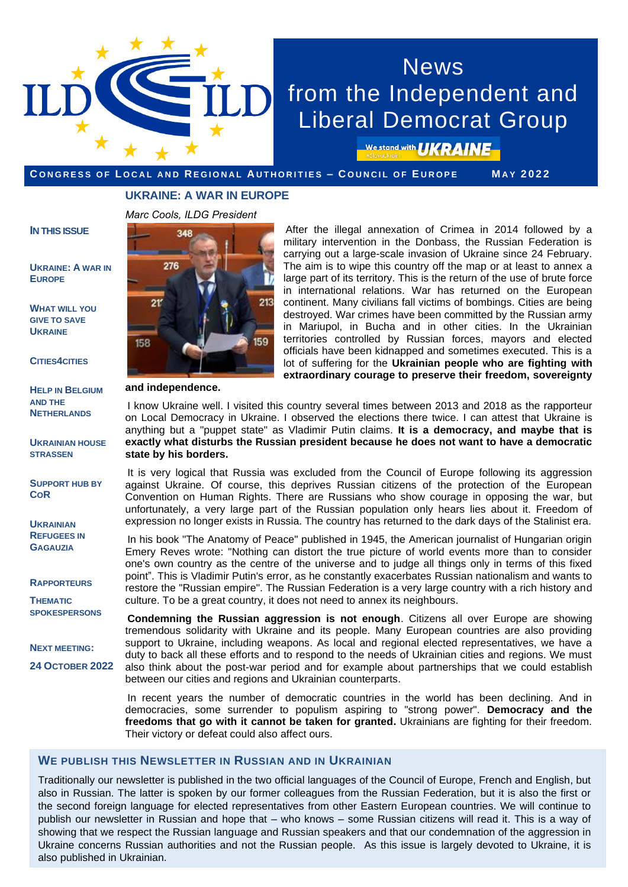

# **News** from the Independent and Liberal Democrat Group

We stand with **UKRAINE** 

#### CONGRESS OF LOCAL AND REGIONAL AUTHORITIES - COUNCIL OF EUROPE MAY 2022

#### **UKRAINE: A WAR IN EUROPE**

*Marc Cools, ILDG President*

#### **IN THIS ISSUE**

#### **UKRAINE: A WAR IN EUROPE**

**W[HAT WILL YOU](#page-1-0)  GIVE TO SAVE UKRAINE**

**CITIES4[CITIES](#page-1-0)**

**HELP IN BELGIUM AND THE N[ETHERLANDS](#page-1-0)**

**U[KRAINIAN HOUSE](#page-2-0)  STRASSEN**

**S[UPPORT HUB BY](#page-2-0)  COR**

**UKRAINIAN R[EFUGEES IN](#page-3-0)  GAGAUZIA** 

**RAPPORTEURS**

**THEMATIC [SPOKESPERSONS](#page-3-0)**

**NEXT MEETING:**

**24 OCTOBER 2022**



**and independence.**

After the illegal annexation of Crimea in 2014 followed by a military intervention in the Donbass, the Russian Federation is carrying out a large-scale invasion of Ukraine since 24 February. The aim is to wipe this country off the map or at least to annex a large part of its territory. This is the return of the use of brute force in international relations. War has returned on the European continent. Many civilians fall victims of bombings. Cities are being destroyed. War crimes have been committed by the Russian army in Mariupol, in Bucha and in other cities. In the Ukrainian territories controlled by Russian forces, mayors and elected officials have been kidnapped and sometimes executed. This is a lot of suffering for the **Ukrainian people who are fighting with extraordinary courage to preserve their freedom, sovereignty** 

I know Ukraine well. I visited this country several times between 2013 and 2018 as the rapporteur on Local Democracy in Ukraine. I observed the elections there twice. I can attest that Ukraine is anything but a "puppet state" as Vladimir Putin claims. **It is a democracy, and maybe that is exactly what disturbs the Russian president because he does not want to have a democratic state by his borders.**

It is very logical that Russia was excluded from the Council of Europe following its aggression against Ukraine. Of course, this deprives Russian citizens of the protection of the European Convention on Human Rights. There are Russians who show courage in opposing the war, but unfortunately, a very large part of the Russian population only hears lies about it. Freedom of expression no longer exists in Russia. The country has returned to the dark days of the Stalinist era.

In his book "The Anatomy of Peace" published in 1945, the American journalist of Hungarian origin Emery Reves wrote: "Nothing can distort the true picture of world events more than to consider one's own country as the centre of the universe and to judge all things only in terms of this fixed point". This is Vladimir Putin's error, as he constantly exacerbates Russian nationalism and wants to restore the "Russian empire". The Russian Federation is a very large country with a rich history and culture. To be a great country, it does not need to annex its neighbours.

**Condemning the Russian aggression is not enough**. Citizens all over Europe are showing tremendous solidarity with Ukraine and its people. Many European countries are also providing support to Ukraine, including weapons. As local and regional elected representatives, we have a duty to back all these efforts and to respond to the needs of Ukrainian cities and regions. We must also think about the post-war period and for example about partnerships that we could establish between our cities and regions and Ukrainian counterparts.

In recent years the number of democratic countries in the world has been declining. And in democracies, some surrender to populism aspiring to "strong power". **Democracy and the freedoms that go with it cannot be taken for granted.** Ukrainians are fighting for their freedom. Their victory or defeat could also affect ours.

#### **WE PUBLISH THIS NEWSLETTER IN RUSSIAN AND IN UKRAINIAN**

Traditionally our newsletter is published in the two official languages of the Council of Europe, French and English, but also in Russian. The latter is spoken by our former colleagues from the Russian Federation, but it is also the first or the second foreign language for elected representatives from other Eastern European countries. We will continue to publish our newsletter in Russian and hope that – who knows – some Russian citizens will read it. This is a way of showing that we respect the Russian language and Russian speakers and that our condemnation of the aggression in Ukraine concerns Russian authorities and not the Russian people. As this issue is largely devoted to Ukraine, it is also published in Ukrainian.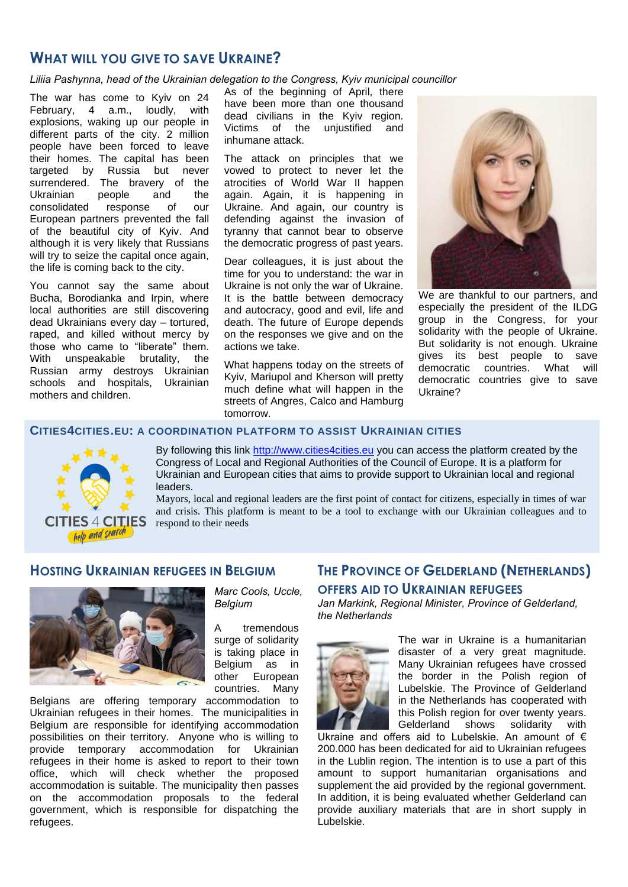## <span id="page-1-0"></span>**WHAT WILL YOU GIVE TO SAVE UKRAINE?**

*Liliia Pashynna, head of the Ukrainian delegation to the Congress, Kyiv municipal councillor*

The war has come to Kyiv on 24 February, 4 a.m., loudly, with explosions, waking up our people in different parts of the city. 2 million people have been forced to leave their homes. The capital has been targeted by Russia but never surrendered. The bravery of the Ukrainian people and the consolidated response of our European partners prevented the fall of the beautiful city of Kyiv. And although it is very likely that Russians will try to seize the capital once again, the life is coming back to the city.

You cannot say the same about Bucha, Borodianka and Irpin, where local authorities are still discovering dead Ukrainians every day – tortured, raped, and killed without mercy by those who came to "liberate" them. With unspeakable brutality, the Russian army destroys Ukrainian schools and hospitals, Ukrainian mothers and children.

As of the beginning of April, there have been more than one thousand dead civilians in the Kyiv region. Victims of the unjustified and inhumane attack.

The attack on principles that we vowed to protect to never let the atrocities of World War II happen again. Again, it is happening in Ukraine. And again, our country is defending against the invasion of tyranny that cannot bear to observe the democratic progress of past years.

Dear colleagues, it is just about the time for you to understand: the war in Ukraine is not only the war of Ukraine. It is the battle between democracy and autocracy, good and evil, life and death. The future of Europe depends on the responses we give and on the actions we take.

What happens today on the streets of Kyiv, Mariupol and Kherson will pretty much define what will happen in the streets of Angres, Calco and Hamburg tomorrow.



We are thankful to our partners, and especially the president of the ILDG group in the Congress, for your solidarity with the people of Ukraine. But solidarity is not enough. Ukraine gives its best people to save democratic countries. What will democratic countries give to save Ukraine?

#### **CITIES4CITIES.EU: A COORDINATION PLATFORM TO ASSIST UKRAINIAN CITIES**

*Marc Cools, Uccle,* 

A tremendous surge of solidarity is taking place in Belgium as in other European countries. Many

*Belgium*



By following this link [http://www.cities4cities.eu](http://www.cities4cities.eu/) you can access the platform created by the Congress of Local and Regional Authorities of the Council of Europe. It is a platform for Ukrainian and European cities that aims to provide support to Ukrainian local and regional leaders.

Mayors, local and regional leaders are the first point of contact for citizens, especially in times of war and crisis. This platform is meant to be a tool to exchange with our Ukrainian colleagues and to respond to their needs

### **HOSTING UKRAINIAN REFUGEES IN BELGIUM**



Belgians are offering temporary accommodation to Ukrainian refugees in their homes. The municipalities in Belgium are responsible for identifying accommodation possibilities on their territory. Anyone who is willing to provide temporary accommodation for Ukrainian refugees in their home is asked to report to their town office, which will check whether the proposed accommodation is suitable. The municipality then passes on the accommodation proposals to the federal government, which is responsible for dispatching the refugees.

# **THE PROVINCE OF GELDERLAND (NETHERLANDS) OFFERS AID TO UKRAINIAN REFUGEES**

*Jan Markink, Regional Minister, Province of Gelderland, the Netherlands*



The war in Ukraine is a humanitarian disaster of a very great magnitude. Many Ukrainian refugees have crossed the border in the Polish region of Lubelskie. The Province of Gelderland in the Netherlands has cooperated with this Polish region for over twenty years. Gelderland shows solidarity with

Ukraine and offers aid to Lubelskie. An amount of  $\epsilon$ 200.000 has been dedicated for aid to Ukrainian refugees in the Lublin region. The intention is to use a part of this amount to support humanitarian organisations and supplement the aid provided by the regional government. In addition, it is being evaluated whether Gelderland can provide auxiliary materials that are in short supply in Lubelskie.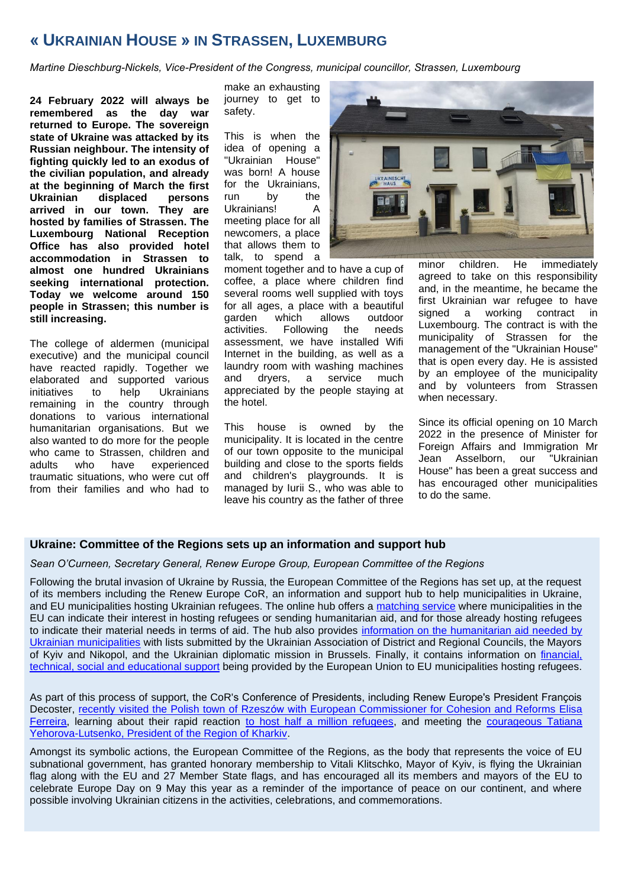# <span id="page-2-0"></span>**« UKRAINIAN HOUSE » IN STRASSEN, LUXEMBURG**

*Martine Dieschburg-Nickels, Vice-President of the Congress, municipal councillor, Strassen, Luxembourg* 

**24 February 2022 will always be remembered as the day war returned to Europe. The sovereign state of Ukraine was attacked by its Russian neighbour. The intensity of fighting quickly led to an exodus of the civilian population, and already at the beginning of March the first Ukrainian displaced persons arrived in our town. They are hosted by families of Strassen. The Luxembourg National Reception Office has also provided hotel accommodation in Strassen to almost one hundred Ukrainians seeking international protection. Today we welcome around 150 people in Strassen; this number is still increasing.** 

The college of aldermen (municipal executive) and the municipal council have reacted rapidly. Together we elaborated and supported various initiatives to help Ukrainians remaining in the country through donations to various international humanitarian organisations. But we also wanted to do more for the people who came to Strassen, children and adults who have experienced traumatic situations, who were cut off from their families and who had to make an exhausting journey to get to safety.

This is when the idea of opening a "Ukrainian House" was born! A house for the Ukrainians, run by the Ukrainians! A meeting place for all newcomers, a place that allows them to talk, to spend a



moment together and to have a cup of coffee, a place where children find several rooms well supplied with toys for all ages, a place with a beautiful garden which allows outdoor activities. Following the needs assessment, we have installed Wifi Internet in the building, as well as a laundry room with washing machines and dryers, a service much appreciated by the people staying at the hotel.

This house is owned by the municipality. It is located in the centre of our town opposite to the municipal building and close to the sports fields and children's playgrounds. It is managed by Iurii S., who was able to leave his country as the father of three minor children. He immediately agreed to take on this responsibility and, in the meantime, he became the first Ukrainian war refugee to have signed a working contract in Luxembourg. The contract is with the municipality of Strassen for the management of the "Ukrainian House" that is open every day. He is assisted by an employee of the municipality and by volunteers from Strassen when necessary.

Since its official opening on 10 March 2022 in the presence of Minister for Foreign Affairs and Immigration Mr Jean Asselborn, our "Ukrainian House" has been a great success and has encouraged other municipalities to do the same.

#### **Ukraine: Committee of the Regions sets up an information and support hub**

*Sean O'Curneen, Secretary General, Renew Europe Group, European Committee of the Regions*

Following the brutal invasion of Ukraine by Russia, the European Committee of the Regions has set up, at the request of its members including the Renew Europe CoR, an information and support hub to help municipalities in Ukraine, and EU municipalities hosting Ukrainian refugees. The online hub offers a [matching service](https://cor.europa.eu/en/engage/Pages/Help-Ukraine-refugees.aspx) where municipalities in the EU can indicate their interest in hosting refugees or sending humanitarian aid, and for those already hosting refugees to indicate their material needs in terms of aid. The hub also provides [information on the humanitarian aid needed by](https://cor.europa.eu/en/our-work/Pages/help-for-ukraine.aspx) [Ukrainian municipalities](https://cor.europa.eu/en/our-work/Pages/help-for-ukraine.aspx) with lists submitted by the Ukrainian Association of District and Regional Councils, the Mayors of Kyiv and Nikopol, and the Ukrainian diplomatic mission in Brussels. Finally, it contains information on [financial,](https://cor.europa.eu/en/engage/Pages/Ukraine-Get-support-and-funds.aspx)  technical, social and [educational support](https://cor.europa.eu/en/engage/Pages/Ukraine-Get-support-and-funds.aspx) being provided by the European Union to EU municipalities hosting refugees.

As part of this process of support, the CoR's Conference of Presidents, including Renew Europe's President François Decoster, [recently visited the Polish town of Rzeszów with European Commissioner for Cohesion and Reforms](https://twitter.com/fdecoster/status/1511637380578611205?s=20&t=kqh-FIb1ZNNE8ntDJhYRJw) Elisa [Ferreira,](https://twitter.com/fdecoster/status/1511637380578611205?s=20&t=kqh-FIb1ZNNE8ntDJhYRJw) learning about their rapid reaction [to host half a million refugees,](https://twitter.com/fdecoster/status/1511737160398999554?s=20&t=kqh-FIb1ZNNE8ntDJhYRJw) and meeting the [courageous Tatiana](https://twitter.com/fdecoster/status/1511802839382827017?s=20&t=kqh-FIb1ZNNE8ntDJhYRJw)  [Yehorova-Lutsenko, President of the Region of Kharkiv.](https://twitter.com/fdecoster/status/1511802839382827017?s=20&t=kqh-FIb1ZNNE8ntDJhYRJw)

Amongst its symbolic actions, the European Committee of the Regions, as the body that represents the voice of EU subnational government, has granted honorary membership to Vitali Klitschko, Mayor of Kyiv, is flying the Ukrainian flag along with the EU and 27 Member State flags, and has encouraged all its members and mayors of the EU to celebrate Europe Day on 9 May this year as a reminder of the importance of peace on our continent, and where possible involving Ukrainian citizens in the activities, celebrations, and commemorations.